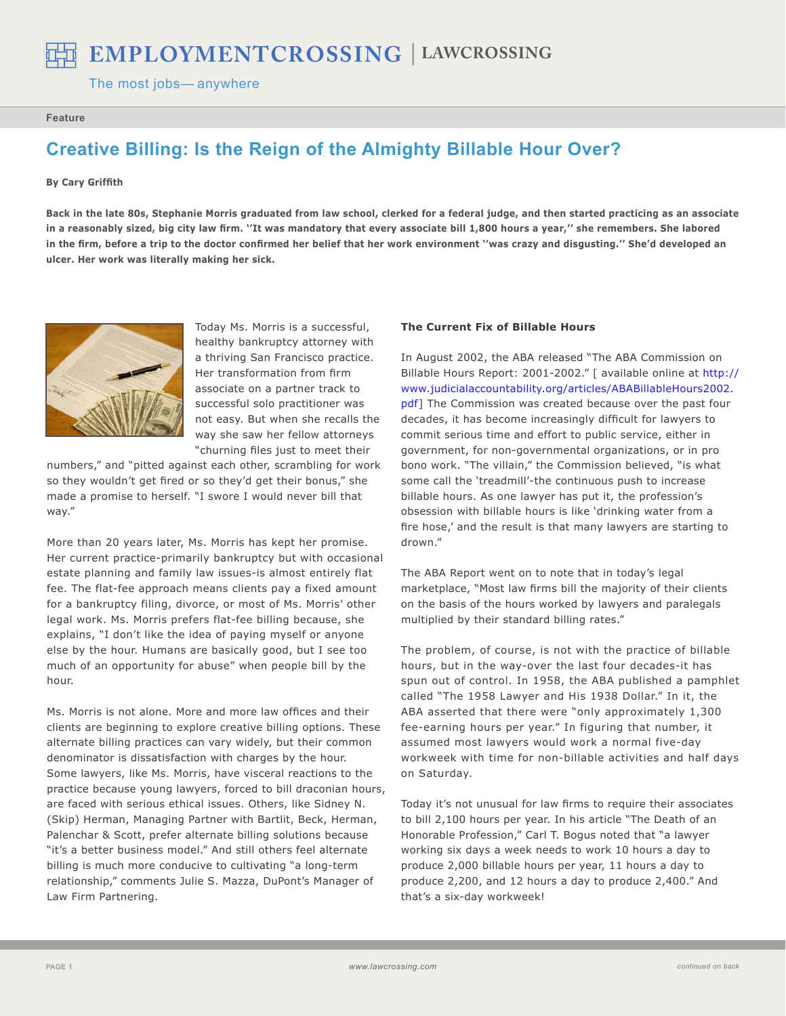The most jobs-anywhere

#### **Feature**

# **Creative Billing: Is the Reign of the Almighty Billable Hour Over?**

# **By Cary Griffith**

**Back in the late 80s, Stephanie Morris graduated from law school, clerked for a federal judge, and then started practicing as an associate in a reasonably sized, big city law firm. ''It was mandatory that every associate bill 1,800 hours a year,'' she remembers. She labored in the firm, before a trip to the doctor confirmed her belief that her work environment ''was crazy and disgusting.'' She'd developed an ulcer. Her work was literally making her sick.** 



Today Ms. Morris is a successful, healthy bankruptcy attorney with a thriving San Francisco practice. Her transformation from firm associate on a partner track to successful solo practitioner was not easy. But when she recalls the way she saw her fellow attorneys "churning files just to meet their

numbers," and "pitted against each other, scrambling for work so they wouldn't get fired or so they'd get their bonus," she made a promise to herself. "I swore I would never bill that way."

More than 20 years later, Ms. Morris has kept her promise. Her current practice-primarily bankruptcy but with occasional estate planning and family law issues-is almost entirely flat fee. The flat-fee approach means clients pay a fixed amount for a bankruptcy filing, divorce, or most of Ms. Morris' other legal work. Ms. Morris prefers flat-fee billing because, she explains, "I don't like the idea of paying myself or anyone else by the hour. Humans are basically good, but I see too much of an opportunity for abuse" when people bill by the hour.

Ms. Morris is not alone. More and more law offices and their clients are beginning to explore creative billing options. These alternate billing practices can vary widely, but their common denominator is dissatisfaction with charges by the hour. Some lawyers, like Ms. Morris, have visceral reactions to the practice because young lawyers, forced to bill draconian hours, are faced with serious ethical issues. Others, like Sidney N. (Skip) Herman, Managing Partner with Bartlit, Beck, Herman, Palenchar & Scott, prefer alternate billing solutions because "it's a better business model." And still others feel alternate billing is much more conducive to cultivating "a long-term relationship," comments Julie S. Mazza, DuPont's Manager of Law Firm Partnering.

## **The Current Fix of Billable Hours**

In August 2002, the ABA released "The ABA Commission on Billable Hours Report: 2001-2002." [ available online at [http://](http://www.judicialaccountability.org/articles/ABABillableHours2002.pdf) [www.judicialaccountability.org/articles/ABABillableHours2002.](http://www.judicialaccountability.org/articles/ABABillableHours2002.pdf) [pdf](http://www.judicialaccountability.org/articles/ABABillableHours2002.pdf)] The Commission was created because over the past four decades, it has become increasingly difficult for lawyers to commit serious time and effort to public service, either in government, for non-governmental organizations, or in pro bono work. "The villain," the Commission believed, "is what some call the 'treadmill'-the continuous push to increase billable hours. As one lawyer has put it, the profession's obsession with billable hours is like 'drinking water from a fire hose,' and the result is that many lawyers are starting to drown."

The ABA Report went on to note that in today's legal marketplace, "Most law firms bill the majority of their clients on the basis of the hours worked by lawyers and paralegals multiplied by their standard billing rates."

The problem, of course, is not with the practice of billable hours, but in the way-over the last four decades-it has spun out of control. In 1958, the ABA published a pamphlet called "The 1958 Lawyer and His 1938 Dollar." In it, the ABA asserted that there were "only approximately 1,300 fee-earning hours per year." In figuring that number, it assumed most lawyers would work a normal five-day workweek with time for non-billable activities and half days on Saturday.

Today it's not unusual for law firms to require their associates to bill 2,100 hours per year. In his article "The Death of an Honorable Profession," Carl T. Bogus noted that "a lawyer working six days a week needs to work 10 hours a day to produce 2,000 billable hours per year, 11 hours a day to produce 2,200, and 12 hours a day to produce 2,400." And that's a six-day workweek!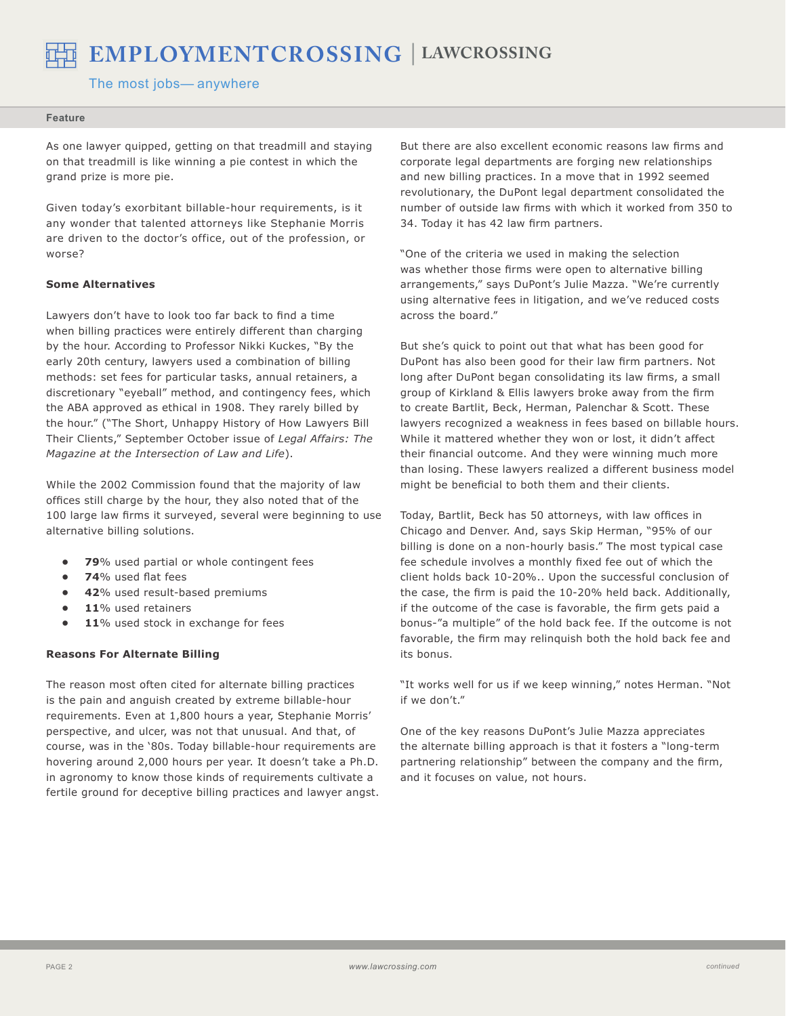

 $\bf \text{EMPLOYMENTCROSING} \mid \text{LAWCROSING} \ \text{The most jobs— anywhere}$ 

The most jobs-anywhere

#### **Feature**

As one lawyer quipped, getting on that treadmill and staying on that treadmill is like winning a pie contest in which the grand prize is more pie.

Given today's exorbitant billable-hour requirements, is it any wonder that talented attorneys like Stephanie Morris are driven to the doctor's office, out of the profession, or worse?

## **Some Alternatives**

Lawyers don't have to look too far back to find a time when billing practices were entirely different than charging by the hour. According to Professor Nikki Kuckes, "By the early 20th century, lawyers used a combination of billing methods: set fees for particular tasks, annual retainers, a discretionary "eyeball" method, and contingency fees, which the ABA approved as ethical in 1908. They rarely billed by the hour." ("The Short, Unhappy History of How Lawyers Bill Their Clients," September October issue of *Legal Affairs: The Magazine at the Intersection of Law and Life*).

While the 2002 Commission found that the majority of law offices still charge by the hour, they also noted that of the 100 large law firms it surveyed, several were beginning to use alternative billing solutions.

- **79**% used partial or whole contingent fees **•**
- **74**% used flat fees **•**
- **42**% used result-based premiums **•**
- **11**% used retainers **•**
- 11% used stock in exchange for fees **•**

# **Reasons For Alternate Billing**

The reason most often cited for alternate billing practices is the pain and anguish created by extreme billable-hour requirements. Even at 1,800 hours a year, Stephanie Morris' perspective, and ulcer, was not that unusual. And that, of course, was in the '80s. Today billable-hour requirements are hovering around 2,000 hours per year. It doesn't take a Ph.D. in agronomy to know those kinds of requirements cultivate a fertile ground for deceptive billing practices and lawyer angst. But there are also excellent economic reasons law firms and corporate legal departments are forging new relationships and new billing practices. In a move that in 1992 seemed revolutionary, the DuPont legal department consolidated the number of outside law firms with which it worked from 350 to 34. Today it has 42 law firm partners.

"One of the criteria we used in making the selection was whether those firms were open to alternative billing arrangements," says DuPont's Julie Mazza. "We're currently using alternative fees in litigation, and we've reduced costs across the board."

But she's quick to point out that what has been good for DuPont has also been good for their law firm partners. Not long after DuPont began consolidating its law firms, a small group of Kirkland & Ellis lawyers broke away from the firm to create Bartlit, Beck, Herman, Palenchar & Scott. These lawyers recognized a weakness in fees based on billable hours. While it mattered whether they won or lost, it didn't affect their financial outcome. And they were winning much more than losing. These lawyers realized a different business model might be beneficial to both them and their clients.

Today, Bartlit, Beck has 50 attorneys, with law offices in Chicago and Denver. And, says Skip Herman, "95% of our billing is done on a non-hourly basis." The most typical case fee schedule involves a monthly fixed fee out of which the client holds back 10-20%.. Upon the successful conclusion of the case, the firm is paid the 10-20% held back. Additionally, if the outcome of the case is favorable, the firm gets paid a bonus-"a multiple" of the hold back fee. If the outcome is not favorable, the firm may relinquish both the hold back fee and its bonus.

"It works well for us if we keep winning," notes Herman. "Not if we don't."

One of the key reasons DuPont's Julie Mazza appreciates the alternate billing approach is that it fosters a "long-term partnering relationship" between the company and the firm, and it focuses on value, not hours.